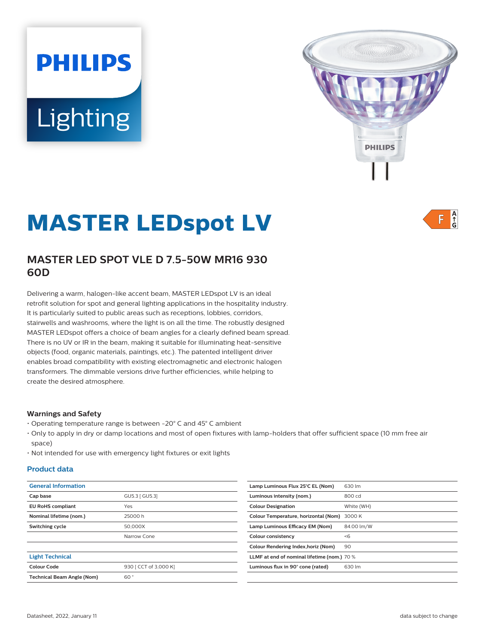# **PHILIPS Lighting**



 $\frac{A}{G}$ 

# **MASTER LEDspot LV**

# **MASTER LED SPOT VLE D 7.5-50W MR16 930 60D**

Delivering a warm, halogen-like accent beam, MASTER LEDspot LV is an ideal retrofit solution for spot and general lighting applications in the hospitality industry. It is particularly suited to public areas such as receptions, lobbies, corridors, stairwells and washrooms, where the light is on all the time. The robustly designed MASTER LEDspot offers a choice of beam angles for a clearly defined beam spread. There is no UV or IR in the beam, making it suitable for illuminating heat-sensitive objects (food, organic materials, paintings, etc.). The patented intelligent driver enables broad compatibility with existing electromagnetic and electronic halogen transformers. The dimmable versions drive further efficiencies, while helping to create the desired atmosphere.

#### **Warnings and Safety**

- Operating temperature range is between -20° C and 45° C ambient
- Only to apply in dry or damp locations and most of open fixtures with lamp-holders that offer sufficient space (10 mm free air space)
- Not intended for use with emergency light fixtures or exit lights

#### **Product data**

| <b>General Information</b>        |                       | Lamp Luminous Flux 25°C EL (Nom)            | 630 lm                                      |  |
|-----------------------------------|-----------------------|---------------------------------------------|---------------------------------------------|--|
| Cap base                          | GU5.3 [ GU5.3]        | Luminous intensity (nom.)                   | 800 cd                                      |  |
| <b>EU RoHS compliant</b>          | Yes                   | <b>Colour Designation</b>                   | White (WH)                                  |  |
| Nominal lifetime (nom.)           | 25000 h               | Colour Temperature, horizontal (Nom) 3000 K |                                             |  |
| Switching cycle                   | 50.000X               | Lamp Luminous Efficacy EM (Nom)             | 84.00 lm/W                                  |  |
|                                   | Narrow Cone           | Colour consistency                          | < 6                                         |  |
|                                   |                       | Colour Rendering Index, horiz (Nom)         | 90                                          |  |
| <b>Light Technical</b>            |                       |                                             | LLMF at end of nominal lifetime (nom.) 70 % |  |
| <b>Colour Code</b>                | 930   CCT of 3,000 K] | Luminous flux in 90° cone (rated)           | 630 lm                                      |  |
| <b>Technical Beam Angle (Nom)</b> | 60°                   |                                             |                                             |  |
|                                   |                       |                                             |                                             |  |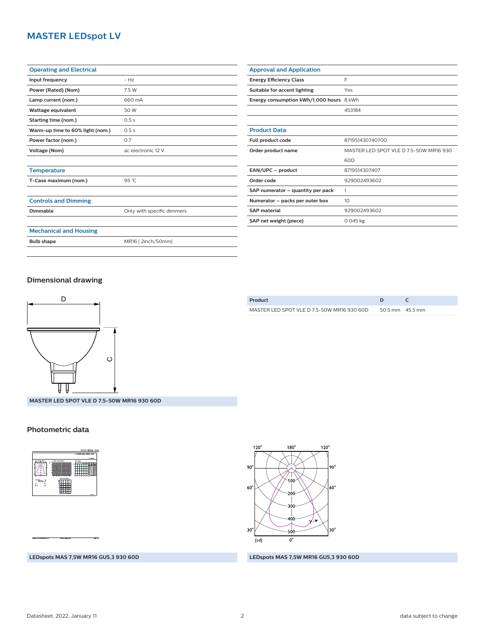# **MASTER LEDspot LV**

#### **Operating and Electrical**

| Input frequency                  | $- H7$             |  |  |  |
|----------------------------------|--------------------|--|--|--|
| Power (Rated) (Nom)              | 7.5 W              |  |  |  |
| Lamp current (nom.)              | 660 mA             |  |  |  |
| Wattage equivalent               | 50 W               |  |  |  |
| Starting time (nom.)             | 0.5s               |  |  |  |
| Warm-up time to 60% light (nom.) | 0.5s               |  |  |  |
| Power factor (nom.)              | 0.7                |  |  |  |
| <b>Voltage (Nom)</b>             | ac electronic 12 V |  |  |  |
|                                  |                    |  |  |  |
| <b>Temperature</b>               |                    |  |  |  |
| T-Case maximum (nom.)            | 95 °C              |  |  |  |
|                                  |                    |  |  |  |
| <b>Controls and Dimming</b>      |                    |  |  |  |

**Dimmable** Only with specific dimmers

| <b>Approval and Application</b>          |                                        |
|------------------------------------------|----------------------------------------|
| <b>Energy Efficiency Class</b>           | F                                      |
| Suitable for accent lighting             | Yes                                    |
| Energy consumption kWh/1,000 hours 8 kWh |                                        |
|                                          | 453184                                 |
|                                          |                                        |
| <b>Product Data</b>                      |                                        |
| Full product code                        | 871951430740700                        |
| Order product name                       | MASTER LED SPOT VLE D 7.5-50W MR16 930 |
|                                          | 60D                                    |
| EAN/UPC - product                        | 8719514307407                          |
| Order code                               | 929002493602                           |
| SAP numerator - quantity per pack        | 1                                      |
| Numerator - packs per outer box          | 10                                     |
| <b>SAP material</b>                      | 929002493602                           |
| SAP net weight (piece)                   | $0.045$ kg                             |

## **Mechanical and Housing**

**Bulb shape** MR16 [ 2inch/50mm]

#### **Dimensional drawing**



**MASTER LED SPOT VLE D 7.5-50W MR16 930 60D**

#### **Photometric data**



| Product                                    |                           |  |
|--------------------------------------------|---------------------------|--|
| MASTER LED SPOT VLE D 7.5-50W MR16 930 60D | $50.5 \text{ mm}$ 45.5 mm |  |
|                                            |                           |  |



**LEDspots MAS 7,5W MR16 GU5,3 930 60D LEDspots MAS 7,5W MR16 GU5,3 930 60D**